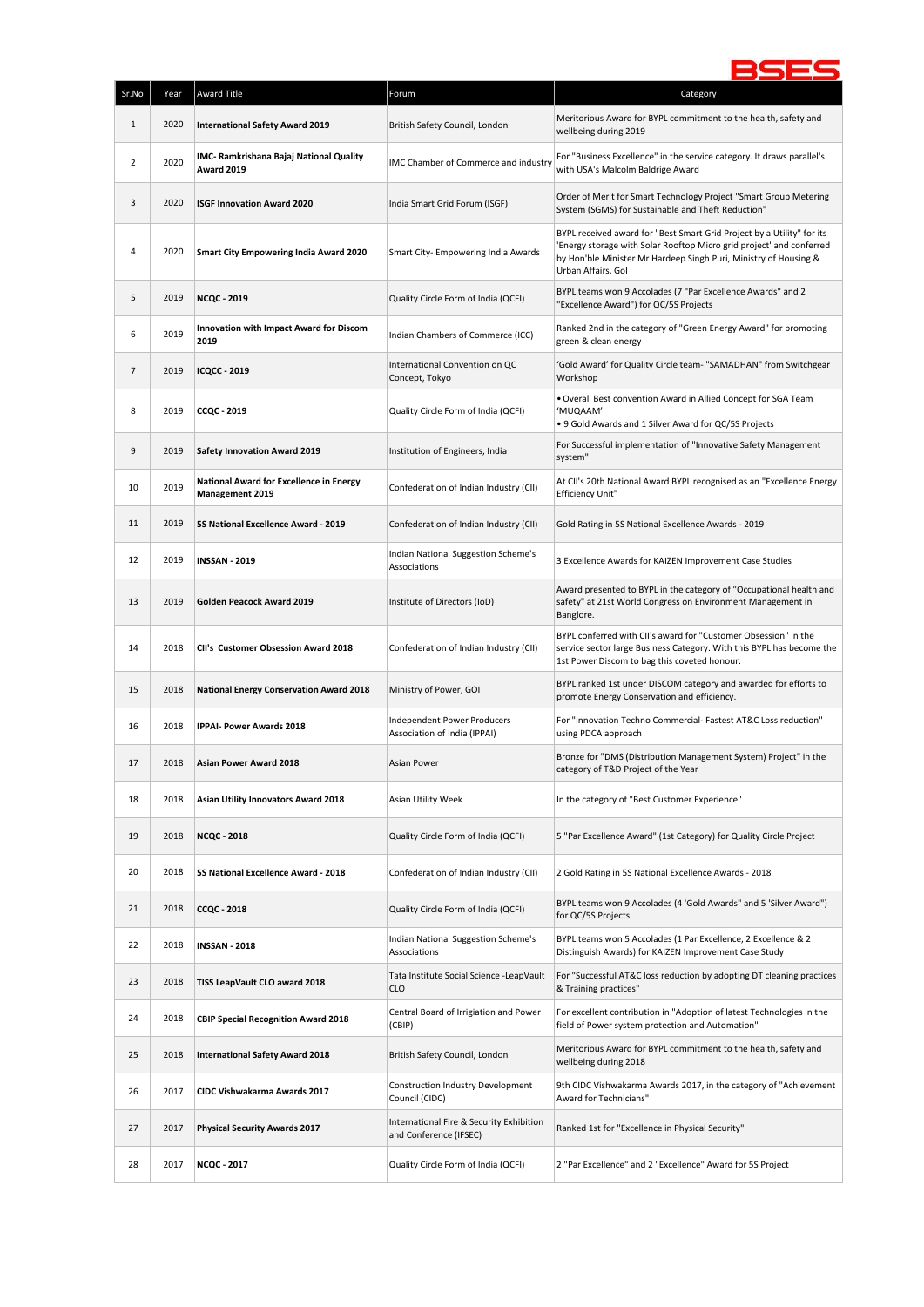

| Sr.No          | Year | Award Title                                                              | Forum                                                              | Category                                                                                                                                                                                                                                |
|----------------|------|--------------------------------------------------------------------------|--------------------------------------------------------------------|-----------------------------------------------------------------------------------------------------------------------------------------------------------------------------------------------------------------------------------------|
| $\mathbf{1}$   | 2020 | <b>International Safety Award 2019</b>                                   | British Safety Council, London                                     | Meritorious Award for BYPL commitment to the health, safety and<br>wellbeing during 2019                                                                                                                                                |
| $\overline{2}$ | 2020 | IMC- Ramkrishana Bajaj National Quality<br><b>Award 2019</b>             | IMC Chamber of Commerce and industry                               | For "Business Excellence" in the service category. It draws parallel's<br>with USA's Malcolm Baldrige Award                                                                                                                             |
| 3              | 2020 | <b>ISGF Innovation Award 2020</b>                                        | India Smart Grid Forum (ISGF)                                      | Order of Merit for Smart Technology Project "Smart Group Metering<br>System (SGMS) for Sustainable and Theft Reduction"                                                                                                                 |
| 4              | 2020 | <b>Smart City Empowering India Award 2020</b>                            | Smart City- Empowering India Awards                                | BYPL received award for "Best Smart Grid Project by a Utility" for its<br>Energy storage with Solar Rooftop Micro grid project' and conferred<br>by Hon'ble Minister Mr Hardeep Singh Puri, Ministry of Housing &<br>Urban Affairs, Gol |
| 5              | 2019 | <b>NCQC - 2019</b>                                                       | Quality Circle Form of India (QCFI)                                | BYPL teams won 9 Accolades (7 "Par Excellence Awards" and 2<br>"Excellence Award") for QC/5S Projects                                                                                                                                   |
| 6              | 2019 | <b>Innovation with Impact Award for Discom</b><br>2019                   | Indian Chambers of Commerce (ICC)                                  | Ranked 2nd in the category of "Green Energy Award" for promoting<br>green & clean energy                                                                                                                                                |
| $\overline{7}$ | 2019 | <b>ICQCC - 2019</b>                                                      | International Convention on QC<br>Concept, Tokyo                   | 'Gold Award' for Quality Circle team- "SAMADHAN" from Switchgear<br>Workshop                                                                                                                                                            |
| 8              | 2019 | <b>CCQC - 2019</b>                                                       | Quality Circle Form of India (QCFI)                                | . Overall Best convention Award in Allied Concept for SGA Team<br>'MUQAAM'<br>. 9 Gold Awards and 1 Silver Award for QC/5S Projects                                                                                                     |
| 9              | 2019 | <b>Safety Innovation Award 2019</b>                                      | Institution of Engineers, India                                    | For Successful implementation of "Innovative Safety Management<br>system"                                                                                                                                                               |
| 10             | 2019 | <b>National Award for Excellence in Energy</b><br><b>Management 2019</b> | Confederation of Indian Industry (CII)                             | At CII's 20th National Award BYPL recognised as an "Excellence Energy<br><b>Efficiency Unit"</b>                                                                                                                                        |
| 11             | 2019 | 5S National Excellence Award - 2019                                      | Confederation of Indian Industry (CII)                             | Gold Rating in 5S National Excellence Awards - 2019                                                                                                                                                                                     |
| 12             | 2019 | <b>INSSAN - 2019</b>                                                     | Indian National Suggestion Scheme's<br>Associations                | 3 Excellence Awards for KAIZEN Improvement Case Studies                                                                                                                                                                                 |
| 13             | 2019 | Golden Peacock Award 2019                                                | Institute of Directors (IoD)                                       | Award presented to BYPL in the category of "Occupational health and<br>safety" at 21st World Congress on Environment Management in<br>Banglore.                                                                                         |
| 14             | 2018 | CII's Customer Obsession Award 2018                                      | Confederation of Indian Industry (CII)                             | BYPL conferred with CII's award for "Customer Obsession" in the<br>service sector large Business Category. With this BYPL has become the<br>1st Power Discom to bag this coveted honour.                                                |
| 15             | 2018 | <b>National Energy Conservation Award 2018</b>                           | Ministry of Power, GOI                                             | BYPL ranked 1st under DISCOM category and awarded for efforts to<br>promote Energy Conservation and efficiency.                                                                                                                         |
| 16             | 2018 | <b>IPPAI- Power Awards 2018</b>                                          | Independent Power Producers<br>Association of India (IPPAI)        | For "Innovation Techno Commercial- Fastest AT&C Loss reduction"<br>using PDCA approach                                                                                                                                                  |
| 17             | 2018 | <b>Asian Power Award 2018</b>                                            | Asian Power                                                        | Bronze for "DMS (Distribution Management System) Project" in the<br>category of T&D Project of the Year                                                                                                                                 |
| 18             | 2018 | Asian Utility Innovators Award 2018                                      | Asian Utility Week                                                 | In the category of "Best Customer Experience"                                                                                                                                                                                           |
| 19             | 2018 | <b>NCQC - 2018</b>                                                       | Quality Circle Form of India (QCFI)                                | 5 "Par Excellence Award" (1st Category) for Quality Circle Project                                                                                                                                                                      |
| 20             | 2018 | 5S National Excellence Award - 2018                                      | Confederation of Indian Industry (CII)                             | 2 Gold Rating in 5S National Excellence Awards - 2018                                                                                                                                                                                   |
| 21             | 2018 | <b>CCQC - 2018</b>                                                       | Quality Circle Form of India (QCFI)                                | BYPL teams won 9 Accolades (4 'Gold Awards" and 5 'Silver Award")<br>for QC/5S Projects                                                                                                                                                 |
| 22             | 2018 | <b>INSSAN - 2018</b>                                                     | Indian National Suggestion Scheme's<br>Associations                | BYPL teams won 5 Accolades (1 Par Excellence, 2 Excellence & 2<br>Distinguish Awards) for KAIZEN Improvement Case Study                                                                                                                 |
| 23             | 2018 | TISS LeapVault CLO award 2018                                            | Tata Institute Social Science -LeapVault<br><b>CLO</b>             | For "Successful AT&C loss reduction by adopting DT cleaning practices<br>& Training practices"                                                                                                                                          |
| 24             | 2018 | <b>CBIP Special Recognition Award 2018</b>                               | Central Board of Irrigiation and Power<br>(CBIP)                   | For excellent contribution in "Adoption of latest Technologies in the<br>field of Power system protection and Automation"                                                                                                               |
| 25             | 2018 | <b>International Safety Award 2018</b>                                   | British Safety Council, London                                     | Meritorious Award for BYPL commitment to the health, safety and<br>wellbeing during 2018                                                                                                                                                |
| 26             | 2017 | CIDC Vishwakarma Awards 2017                                             | Construction Industry Development<br>Council (CIDC)                | 9th CIDC Vishwakarma Awards 2017, in the category of "Achievement<br>Award for Technicians"                                                                                                                                             |
| 27             | 2017 | <b>Physical Security Awards 2017</b>                                     | International Fire & Security Exhibition<br>and Conference (IFSEC) | Ranked 1st for "Excellence in Physical Security"                                                                                                                                                                                        |
| 28             | 2017 | <b>NCQC - 2017</b>                                                       | Quality Circle Form of India (QCFI)                                | 2 "Par Excellence" and 2 "Excellence" Award for 5S Project                                                                                                                                                                              |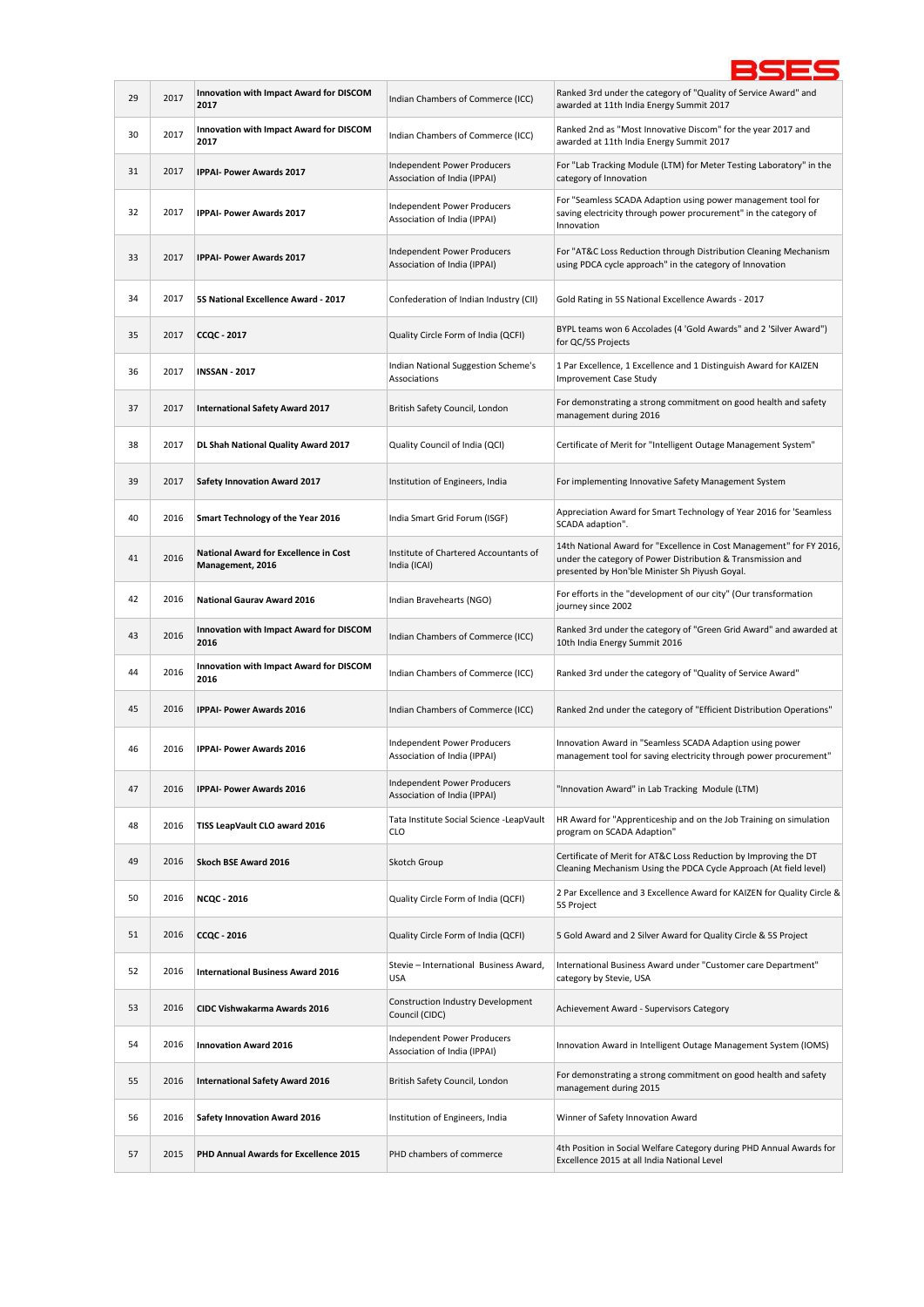| 29 | 2017 | Innovation with Impact Award for DISCOM<br>2017                  | Indian Chambers of Commerce (ICC)                           | Ranked 3rd under the category of "Quality of Service Award" and<br>awarded at 11th India Energy Summit 2017                                                                           |
|----|------|------------------------------------------------------------------|-------------------------------------------------------------|---------------------------------------------------------------------------------------------------------------------------------------------------------------------------------------|
| 30 | 2017 | Innovation with Impact Award for DISCOM<br>2017                  | Indian Chambers of Commerce (ICC)                           | Ranked 2nd as "Most Innovative Discom" for the year 2017 and<br>awarded at 11th India Energy Summit 2017                                                                              |
| 31 | 2017 | IPPAI- Power Awards 2017                                         | Independent Power Producers<br>Association of India (IPPAI) | For "Lab Tracking Module (LTM) for Meter Testing Laboratory" in the<br>category of Innovation                                                                                         |
| 32 | 2017 | <b>IPPAI- Power Awards 2017</b>                                  | Independent Power Producers<br>Association of India (IPPAI) | For "Seamless SCADA Adaption using power management tool for<br>saving electricity through power procurement" in the category of<br>Innovation                                        |
| 33 | 2017 | <b>IPPAI- Power Awards 2017</b>                                  | Independent Power Producers<br>Association of India (IPPAI) | For "AT&C Loss Reduction through Distribution Cleaning Mechanism<br>using PDCA cycle approach" in the category of Innovation                                                          |
| 34 | 2017 | 5S National Excellence Award - 2017                              | Confederation of Indian Industry (CII)                      | Gold Rating in 5S National Excellence Awards - 2017                                                                                                                                   |
| 35 | 2017 | <b>CCQC - 2017</b>                                               | Quality Circle Form of India (QCFI)                         | BYPL teams won 6 Accolades (4 'Gold Awards" and 2 'Silver Award")<br>for QC/5S Projects                                                                                               |
| 36 | 2017 | <b>INSSAN - 2017</b>                                             | Indian National Suggestion Scheme's<br>Associations         | 1 Par Excellence, 1 Excellence and 1 Distinguish Award for KAIZEN<br>Improvement Case Study                                                                                           |
| 37 | 2017 | <b>International Safety Award 2017</b>                           | British Safety Council, London                              | For demonstrating a strong commitment on good health and safety<br>management during 2016                                                                                             |
| 38 | 2017 | DL Shah National Quality Award 2017                              | Quality Council of India (QCI)                              | Certificate of Merit for "Intelligent Outage Management System"                                                                                                                       |
| 39 | 2017 | <b>Safety Innovation Award 2017</b>                              | Institution of Engineers, India                             | For implementing Innovative Safety Management System                                                                                                                                  |
| 40 | 2016 | Smart Technology of the Year 2016                                | India Smart Grid Forum (ISGF)                               | Appreciation Award for Smart Technology of Year 2016 for 'Seamless<br>SCADA adaption".                                                                                                |
| 41 | 2016 | <b>National Award for Excellence in Cost</b><br>Management, 2016 | Institute of Chartered Accountants of<br>India (ICAI)       | 14th National Award for "Excellence in Cost Management" for FY 2016,<br>under the category of Power Distribution & Transmission and<br>presented by Hon'ble Minister Sh Piyush Goyal. |
| 42 | 2016 | <b>National Gaurav Award 2016</b>                                | Indian Bravehearts (NGO)                                    | For efforts in the "development of our city" (Our transformation<br>journey since 2002                                                                                                |
| 43 | 2016 | <b>Innovation with Impact Award for DISCOM</b><br>2016           | Indian Chambers of Commerce (ICC)                           | Ranked 3rd under the category of "Green Grid Award" and awarded at<br>10th India Energy Summit 2016                                                                                   |
| 44 | 2016 | <b>Innovation with Impact Award for DISCOM</b><br>2016           | Indian Chambers of Commerce (ICC)                           | Ranked 3rd under the category of "Quality of Service Award"                                                                                                                           |
| 45 | 2016 | <b>IPPAI- Power Awards 2016</b>                                  | Indian Chambers of Commerce (ICC)                           | Ranked 2nd under the category of "Efficient Distribution Operations"                                                                                                                  |
| 46 | 2016 | <b>IPPAI- Power Awards 2016</b>                                  | Independent Power Producers<br>Association of India (IPPAI) | Innovation Award in "Seamless SCADA Adaption using power<br>management tool for saving electricity through power procurement"                                                         |
| 47 | 2016 | IPPAI- Power Awards 2016                                         | Independent Power Producers<br>Association of India (IPPAI) | "Innovation Award" in Lab Tracking Module (LTM)                                                                                                                                       |
| 48 | 2016 | TISS LeapVault CLO award 2016                                    | Tata Institute Social Science -LeapVault<br><b>CLO</b>      | HR Award for "Apprenticeship and on the Job Training on simulation<br>program on SCADA Adaption"                                                                                      |
| 49 | 2016 | Skoch BSE Award 2016                                             | Skotch Group                                                | Certificate of Merit for AT&C Loss Reduction by Improving the DT<br>Cleaning Mechanism Using the PDCA Cycle Approach (At field level)                                                 |
| 50 | 2016 | <b>NCQC - 2016</b>                                               | Quality Circle Form of India (QCFI)                         | 2 Par Excellence and 3 Excellence Award for KAIZEN for Quality Circle &<br>5S Project                                                                                                 |
| 51 | 2016 | <b>CCQC - 2016</b>                                               | Quality Circle Form of India (QCFI)                         | 5 Gold Award and 2 Silver Award for Quality Circle & 5S Project                                                                                                                       |
| 52 | 2016 | <b>International Business Award 2016</b>                         | Stevie - International Business Award,<br><b>USA</b>        | International Business Award under "Customer care Department"<br>category by Stevie, USA                                                                                              |
| 53 | 2016 | CIDC Vishwakarma Awards 2016                                     | Construction Industry Development<br>Council (CIDC)         | Achievement Award - Supervisors Category                                                                                                                                              |
| 54 | 2016 | <b>Innovation Award 2016</b>                                     | Independent Power Producers<br>Association of India (IPPAI) | Innovation Award in Intelligent Outage Management System (IOMS)                                                                                                                       |
| 55 | 2016 | <b>International Safety Award 2016</b>                           | British Safety Council, London                              | For demonstrating a strong commitment on good health and safety<br>management during 2015                                                                                             |
| 56 | 2016 | <b>Safety Innovation Award 2016</b>                              | Institution of Engineers, India                             | Winner of Safety Innovation Award                                                                                                                                                     |
| 57 | 2015 | PHD Annual Awards for Excellence 2015                            | PHD chambers of commerce                                    | 4th Position in Social Welfare Category during PHD Annual Awards for<br>Excellence 2015 at all India National Level                                                                   |